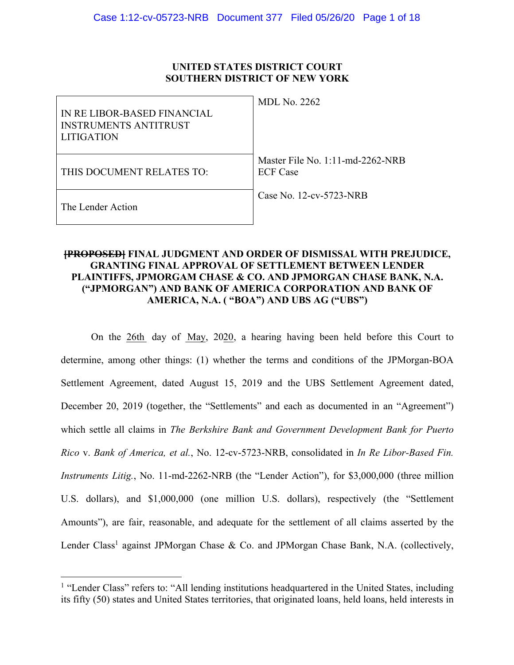# **UNITED STATES DISTRICT COURT SOUTHERN DISTRICT OF NEW YORK**

| IN RE LIBOR-BASED FINANCIAL<br><b>INSTRUMENTS ANTITRUST</b><br>LITIGATION | <b>MDL No. 2262</b>                                    |
|---------------------------------------------------------------------------|--------------------------------------------------------|
| THIS DOCUMENT RELATES TO:                                                 | Master File No. $1:11$ -md-2262-NRB<br><b>ECF</b> Case |
| The Lender Action                                                         | Case No. 12-cv-5723-NRB                                |

# **[PROPOSED] FINAL JUDGMENT AND ORDER OF DISMISSAL WITH PREJUDICE, GRANTING FINAL APPROVAL OF SETTLEMENT BETWEEN LENDER PLAINTIFFS, JPMORGAM CHASE & CO. AND JPMORGAN CHASE BANK, N.A. ("JPMORGAN") AND BANK OF AMERICA CORPORATION AND BANK OF AMERICA, N.A. ( "BOA") AND UBS AG ("UBS")**

On the  $26th$  day of May, 2020, a hearing having been held before this Court to determine, among other things: (1) whether the terms and conditions of the JPMorgan-BOA Settlement Agreement, dated August 15, 2019 and the UBS Settlement Agreement dated, December 20, 2019 (together, the "Settlements" and each as documented in an "Agreement") which settle all claims in *The Berkshire Bank and Government Development Bank for Puerto Rico* v. *Bank of America, et al.*, No. 12-cv-5723-NRB, consolidated in *In Re Libor-Based Fin. Instruments Litig.*, No. 11-md-2262-NRB (the "Lender Action"), for \$3,000,000 (three million U.S. dollars), and \$1,000,000 (one million U.S. dollars), respectively (the "Settlement Amounts"), are fair, reasonable, and adequate for the settlement of all claims asserted by the Lender Class<sup>1</sup> against JPMorgan Chase & Co. and JPMorgan Chase Bank, N.A. (collectively,

<sup>&</sup>lt;sup>1</sup> "Lender Class" refers to: "All lending institutions headquartered in the United States, including its fifty (50) states and United States territories, that originated loans, held loans, held interests in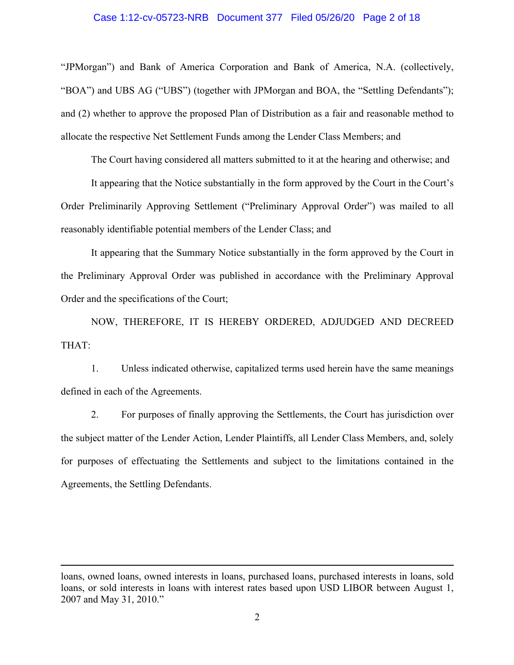# Case 1:12-cv-05723-NRB Document 377 Filed 05/26/20 Page 2 of 18

"JPMorgan") and Bank of America Corporation and Bank of America, N.A. (collectively, "BOA") and UBS AG ("UBS") (together with JPMorgan and BOA, the "Settling Defendants"); and (2) whether to approve the proposed Plan of Distribution as a fair and reasonable method to allocate the respective Net Settlement Funds among the Lender Class Members; and

The Court having considered all matters submitted to it at the hearing and otherwise; and

It appearing that the Notice substantially in the form approved by the Court in the Court's Order Preliminarily Approving Settlement ("Preliminary Approval Order") was mailed to all reasonably identifiable potential members of the Lender Class; and

It appearing that the Summary Notice substantially in the form approved by the Court in the Preliminary Approval Order was published in accordance with the Preliminary Approval Order and the specifications of the Court;

NOW, THEREFORE, IT IS HEREBY ORDERED, ADJUDGED AND DECREED THAT:

1. Unless indicated otherwise, capitalized terms used herein have the same meanings defined in each of the Agreements.

2. For purposes of finally approving the Settlements, the Court has jurisdiction over the subject matter of the Lender Action, Lender Plaintiffs, all Lender Class Members, and, solely for purposes of effectuating the Settlements and subject to the limitations contained in the Agreements, the Settling Defendants.

loans, owned loans, owned interests in loans, purchased loans, purchased interests in loans, sold loans, or sold interests in loans with interest rates based upon USD LIBOR between August 1, 2007 and May 31, 2010."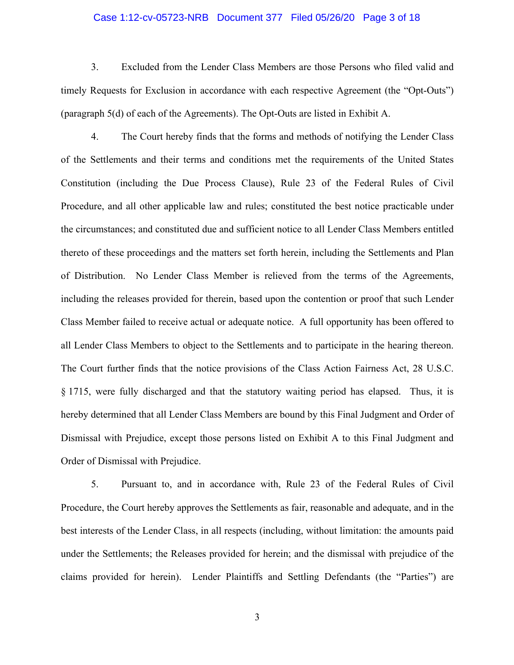### Case 1:12-cv-05723-NRB Document 377 Filed 05/26/20 Page 3 of 18

3. Excluded from the Lender Class Members are those Persons who filed valid and timely Requests for Exclusion in accordance with each respective Agreement (the "Opt-Outs") (paragraph 5(d) of each of the Agreements). The Opt-Outs are listed in Exhibit A.

4. The Court hereby finds that the forms and methods of notifying the Lender Class of the Settlements and their terms and conditions met the requirements of the United States Constitution (including the Due Process Clause), Rule 23 of the Federal Rules of Civil Procedure, and all other applicable law and rules; constituted the best notice practicable under the circumstances; and constituted due and sufficient notice to all Lender Class Members entitled thereto of these proceedings and the matters set forth herein, including the Settlements and Plan of Distribution. No Lender Class Member is relieved from the terms of the Agreements, including the releases provided for therein, based upon the contention or proof that such Lender Class Member failed to receive actual or adequate notice. A full opportunity has been offered to all Lender Class Members to object to the Settlements and to participate in the hearing thereon. The Court further finds that the notice provisions of the Class Action Fairness Act, 28 U.S.C. § 1715, were fully discharged and that the statutory waiting period has elapsed. Thus, it is hereby determined that all Lender Class Members are bound by this Final Judgment and Order of Dismissal with Prejudice, except those persons listed on Exhibit A to this Final Judgment and Order of Dismissal with Prejudice.

5. Pursuant to, and in accordance with, Rule 23 of the Federal Rules of Civil Procedure, the Court hereby approves the Settlements as fair, reasonable and adequate, and in the best interests of the Lender Class, in all respects (including, without limitation: the amounts paid under the Settlements; the Releases provided for herein; and the dismissal with prejudice of the claims provided for herein). Lender Plaintiffs and Settling Defendants (the "Parties") are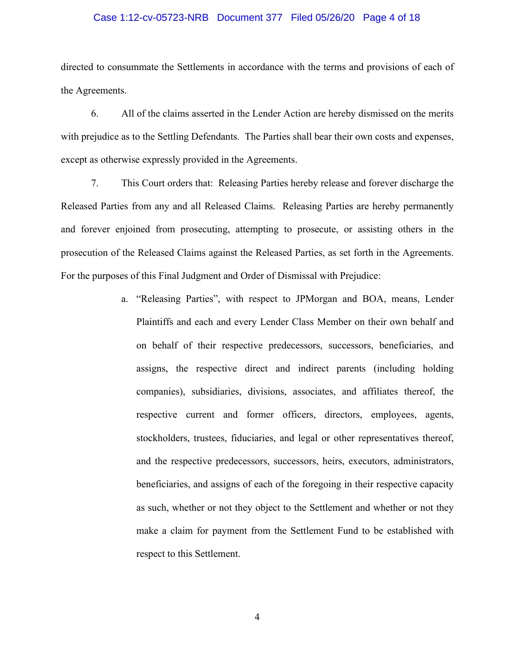### Case 1:12-cv-05723-NRB Document 377 Filed 05/26/20 Page 4 of 18

directed to consummate the Settlements in accordance with the terms and provisions of each of the Agreements.

6. All of the claims asserted in the Lender Action are hereby dismissed on the merits with prejudice as to the Settling Defendants. The Parties shall bear their own costs and expenses, except as otherwise expressly provided in the Agreements.

7. This Court orders that: Releasing Parties hereby release and forever discharge the Released Parties from any and all Released Claims. Releasing Parties are hereby permanently and forever enjoined from prosecuting, attempting to prosecute, or assisting others in the prosecution of the Released Claims against the Released Parties, as set forth in the Agreements. For the purposes of this Final Judgment and Order of Dismissal with Prejudice:

> a. "Releasing Parties", with respect to JPMorgan and BOA, means, Lender Plaintiffs and each and every Lender Class Member on their own behalf and on behalf of their respective predecessors, successors, beneficiaries, and assigns, the respective direct and indirect parents (including holding companies), subsidiaries, divisions, associates, and affiliates thereof, the respective current and former officers, directors, employees, agents, stockholders, trustees, fiduciaries, and legal or other representatives thereof, and the respective predecessors, successors, heirs, executors, administrators, beneficiaries, and assigns of each of the foregoing in their respective capacity as such, whether or not they object to the Settlement and whether or not they make a claim for payment from the Settlement Fund to be established with respect to this Settlement.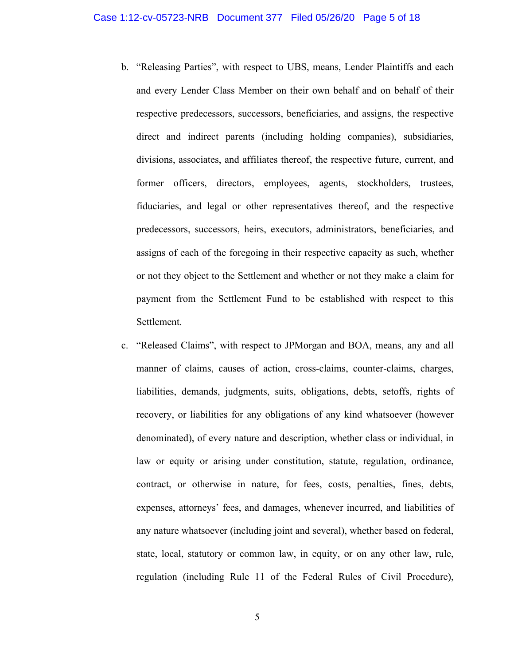- b. "Releasing Parties", with respect to UBS, means, Lender Plaintiffs and each and every Lender Class Member on their own behalf and on behalf of their respective predecessors, successors, beneficiaries, and assigns, the respective direct and indirect parents (including holding companies), subsidiaries, divisions, associates, and affiliates thereof, the respective future, current, and former officers, directors, employees, agents, stockholders, trustees, fiduciaries, and legal or other representatives thereof, and the respective predecessors, successors, heirs, executors, administrators, beneficiaries, and assigns of each of the foregoing in their respective capacity as such, whether or not they object to the Settlement and whether or not they make a claim for payment from the Settlement Fund to be established with respect to this Settlement.
- c. "Released Claims", with respect to JPMorgan and BOA, means, any and all manner of claims, causes of action, cross-claims, counter-claims, charges, liabilities, demands, judgments, suits, obligations, debts, setoffs, rights of recovery, or liabilities for any obligations of any kind whatsoever (however denominated), of every nature and description, whether class or individual, in law or equity or arising under constitution, statute, regulation, ordinance, contract, or otherwise in nature, for fees, costs, penalties, fines, debts, expenses, attorneys' fees, and damages, whenever incurred, and liabilities of any nature whatsoever (including joint and several), whether based on federal, state, local, statutory or common law, in equity, or on any other law, rule, regulation (including Rule 11 of the Federal Rules of Civil Procedure),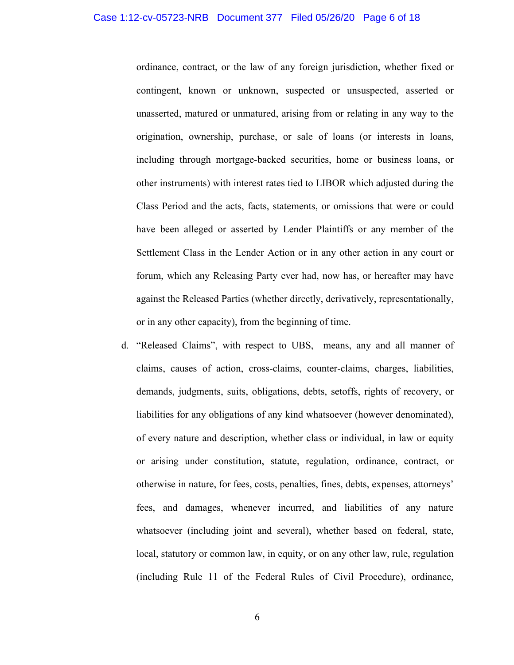ordinance, contract, or the law of any foreign jurisdiction, whether fixed or contingent, known or unknown, suspected or unsuspected, asserted or unasserted, matured or unmatured, arising from or relating in any way to the origination, ownership, purchase, or sale of loans (or interests in loans, including through mortgage-backed securities, home or business loans, or other instruments) with interest rates tied to LIBOR which adjusted during the Class Period and the acts, facts, statements, or omissions that were or could have been alleged or asserted by Lender Plaintiffs or any member of the Settlement Class in the Lender Action or in any other action in any court or forum, which any Releasing Party ever had, now has, or hereafter may have against the Released Parties (whether directly, derivatively, representationally, or in any other capacity), from the beginning of time.

d. "Released Claims", with respect to UBS, means, any and all manner of claims, causes of action, cross-claims, counter-claims, charges, liabilities, demands, judgments, suits, obligations, debts, setoffs, rights of recovery, or liabilities for any obligations of any kind whatsoever (however denominated), of every nature and description, whether class or individual, in law or equity or arising under constitution, statute, regulation, ordinance, contract, or otherwise in nature, for fees, costs, penalties, fines, debts, expenses, attorneys' fees, and damages, whenever incurred, and liabilities of any nature whatsoever (including joint and several), whether based on federal, state, local, statutory or common law, in equity, or on any other law, rule, regulation (including Rule 11 of the Federal Rules of Civil Procedure), ordinance,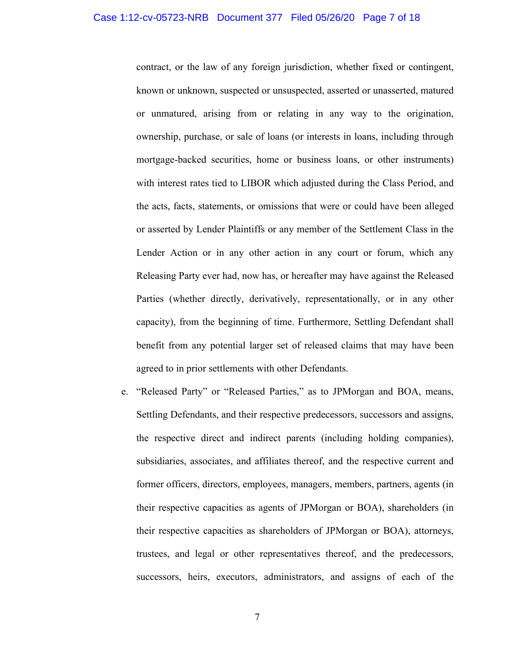contract, or the law of any foreign jurisdiction, whether fixed or contingent, known or unknown, suspected or unsuspected, asserted or unasserted, matured or unmatured, arising from or relating in any way to the origination, ownership, purchase, or sale of loans (or interests in loans, including through mortgage-backed securities, home or business loans, or other instruments) with interest rates tied to LIBOR which adjusted during the Class Period, and the acts, facts, statements, or omissions that were or could have been alleged or asserted by Lender Plaintiffs or any member of the Settlement Class in the Lender Action or in any other action in any court or forum, which any Releasing Party ever had, now has, or hereafter may have against the Released Parties (whether directly, derivatively, representationally, or in any other capacity), from the beginning of time. Furthermore, Settling Defendant shall benefit from any potential larger set of released claims that may have been agreed to in prior settlements with other Defendants.

e. "Released Party" or "Released Parties," as to JPMorgan and BOA, means, Settling Defendants, and their respective predecessors, successors and assigns, the respective direct and indirect parents (including holding companies), subsidiaries, associates, and affiliates thereof, and the respective current and former officers, directors, employees, managers, members, partners, agents (in their respective capacities as agents of JPMorgan or BOA), shareholders (in their respective capacities as shareholders of JPMorgan or BOA), attorneys, trustees, and legal or other representatives thereof, and the predecessors, successors, heirs, executors, administrators, and assigns of each of the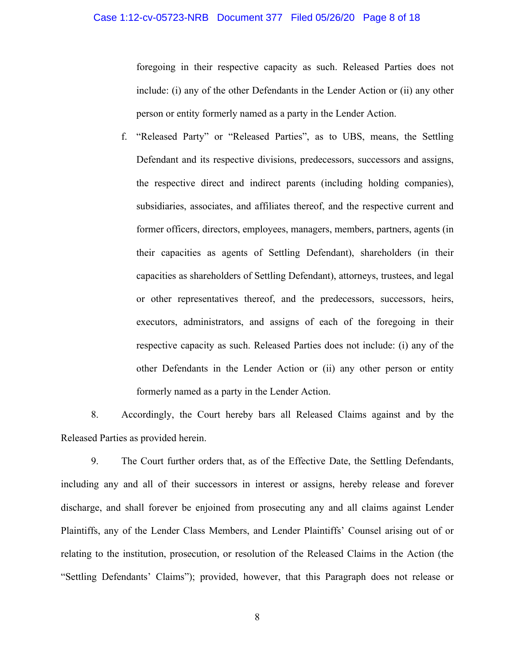# Case 1:12-cv-05723-NRB Document 377 Filed 05/26/20 Page 8 of 18

foregoing in their respective capacity as such. Released Parties does not include: (i) any of the other Defendants in the Lender Action or (ii) any other person or entity formerly named as a party in the Lender Action.

f. "Released Party" or "Released Parties", as to UBS, means, the Settling Defendant and its respective divisions, predecessors, successors and assigns, the respective direct and indirect parents (including holding companies), subsidiaries, associates, and affiliates thereof, and the respective current and former officers, directors, employees, managers, members, partners, agents (in their capacities as agents of Settling Defendant), shareholders (in their capacities as shareholders of Settling Defendant), attorneys, trustees, and legal or other representatives thereof, and the predecessors, successors, heirs, executors, administrators, and assigns of each of the foregoing in their respective capacity as such. Released Parties does not include: (i) any of the other Defendants in the Lender Action or (ii) any other person or entity formerly named as a party in the Lender Action.

8. Accordingly, the Court hereby bars all Released Claims against and by the Released Parties as provided herein.

9. The Court further orders that, as of the Effective Date, the Settling Defendants, including any and all of their successors in interest or assigns, hereby release and forever discharge, and shall forever be enjoined from prosecuting any and all claims against Lender Plaintiffs, any of the Lender Class Members, and Lender Plaintiffs' Counsel arising out of or relating to the institution, prosecution, or resolution of the Released Claims in the Action (the "Settling Defendants' Claims"); provided, however, that this Paragraph does not release or

8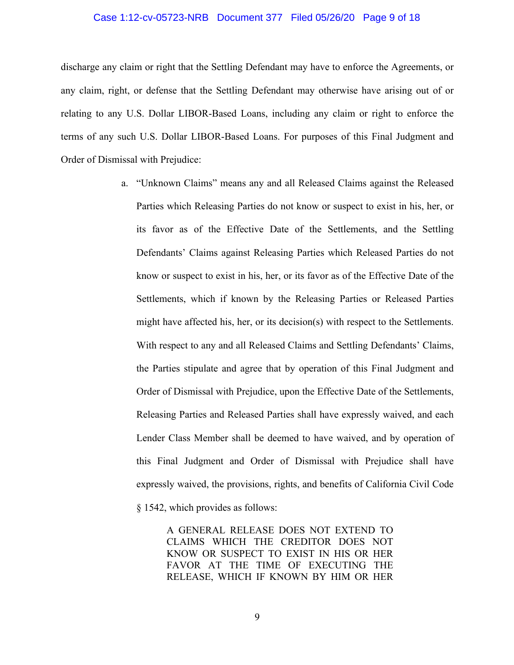### Case 1:12-cv-05723-NRB Document 377 Filed 05/26/20 Page 9 of 18

discharge any claim or right that the Settling Defendant may have to enforce the Agreements, or any claim, right, or defense that the Settling Defendant may otherwise have arising out of or relating to any U.S. Dollar LIBOR-Based Loans, including any claim or right to enforce the terms of any such U.S. Dollar LIBOR-Based Loans. For purposes of this Final Judgment and Order of Dismissal with Prejudice:

> a. "Unknown Claims" means any and all Released Claims against the Released Parties which Releasing Parties do not know or suspect to exist in his, her, or its favor as of the Effective Date of the Settlements, and the Settling Defendants' Claims against Releasing Parties which Released Parties do not know or suspect to exist in his, her, or its favor as of the Effective Date of the Settlements, which if known by the Releasing Parties or Released Parties might have affected his, her, or its decision(s) with respect to the Settlements. With respect to any and all Released Claims and Settling Defendants' Claims, the Parties stipulate and agree that by operation of this Final Judgment and Order of Dismissal with Prejudice, upon the Effective Date of the Settlements, Releasing Parties and Released Parties shall have expressly waived, and each Lender Class Member shall be deemed to have waived, and by operation of this Final Judgment and Order of Dismissal with Prejudice shall have expressly waived, the provisions, rights, and benefits of California Civil Code § 1542, which provides as follows:

> > A GENERAL RELEASE DOES NOT EXTEND TO CLAIMS WHICH THE CREDITOR DOES NOT KNOW OR SUSPECT TO EXIST IN HIS OR HER FAVOR AT THE TIME OF EXECUTING THE RELEASE, WHICH IF KNOWN BY HIM OR HER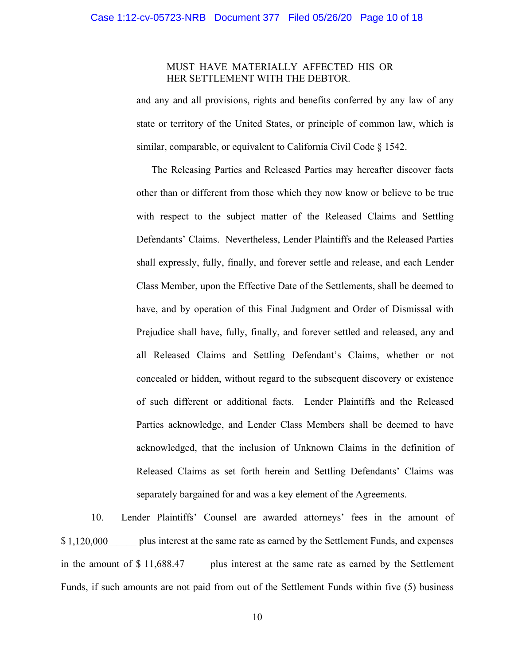# MUST HAVE MATERIALLY AFFECTED HIS OR HER SETTLEMENT WITH THE DEBTOR.

and any and all provisions, rights and benefits conferred by any law of any state or territory of the United States, or principle of common law, which is similar, comparable, or equivalent to California Civil Code § 1542.

The Releasing Parties and Released Parties may hereafter discover facts other than or different from those which they now know or believe to be true with respect to the subject matter of the Released Claims and Settling Defendants' Claims. Nevertheless, Lender Plaintiffs and the Released Parties shall expressly, fully, finally, and forever settle and release, and each Lender Class Member, upon the Effective Date of the Settlements, shall be deemed to have, and by operation of this Final Judgment and Order of Dismissal with Prejudice shall have, fully, finally, and forever settled and released, any and all Released Claims and Settling Defendant's Claims, whether or not concealed or hidden, without regard to the subsequent discovery or existence of such different or additional facts. Lender Plaintiffs and the Released Parties acknowledge, and Lender Class Members shall be deemed to have acknowledged, that the inclusion of Unknown Claims in the definition of Released Claims as set forth herein and Settling Defendants' Claims was separately bargained for and was a key element of the Agreements.

10. Lender Plaintiffs' Counsel are awarded attorneys' fees in the amount of plus interest at the same rate as earned by the Settlement Funds, and expenses in the amount of  $\frac{$11,688.47}{1}$  plus interest at the same rate as earned by the Settlement Funds, if such amounts are not paid from out of the Settlement Funds within five (5) business 1,120,000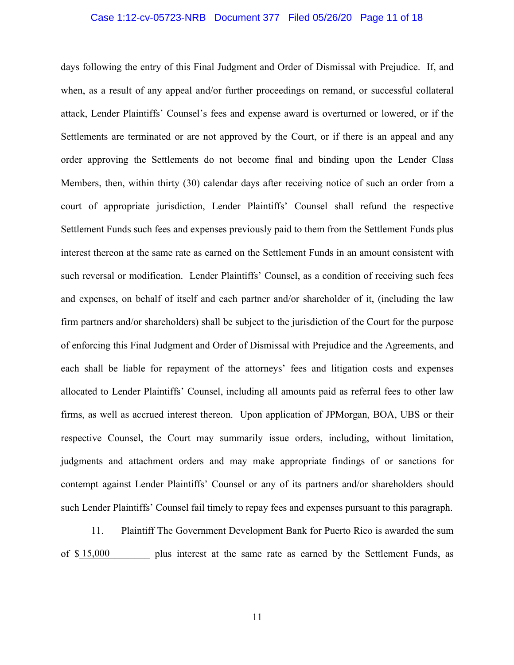### Case 1:12-cv-05723-NRB Document 377 Filed 05/26/20 Page 11 of 18

days following the entry of this Final Judgment and Order of Dismissal with Prejudice. If, and when, as a result of any appeal and/or further proceedings on remand, or successful collateral attack, Lender Plaintiffs' Counsel's fees and expense award is overturned or lowered, or if the Settlements are terminated or are not approved by the Court, or if there is an appeal and any order approving the Settlements do not become final and binding upon the Lender Class Members, then, within thirty (30) calendar days after receiving notice of such an order from a court of appropriate jurisdiction, Lender Plaintiffs' Counsel shall refund the respective Settlement Funds such fees and expenses previously paid to them from the Settlement Funds plus interest thereon at the same rate as earned on the Settlement Funds in an amount consistent with such reversal or modification. Lender Plaintiffs' Counsel, as a condition of receiving such fees and expenses, on behalf of itself and each partner and/or shareholder of it, (including the law firm partners and/or shareholders) shall be subject to the jurisdiction of the Court for the purpose of enforcing this Final Judgment and Order of Dismissal with Prejudice and the Agreements, and each shall be liable for repayment of the attorneys' fees and litigation costs and expenses allocated to Lender Plaintiffs' Counsel, including all amounts paid as referral fees to other law firms, as well as accrued interest thereon. Upon application of JPMorgan, BOA, UBS or their respective Counsel, the Court may summarily issue orders, including, without limitation, judgments and attachment orders and may make appropriate findings of or sanctions for contempt against Lender Plaintiffs' Counsel or any of its partners and/or shareholders should such Lender Plaintiffs' Counsel fail timely to repay fees and expenses pursuant to this paragraph.

11. Plaintiff The Government Development Bank for Puerto Rico is awarded the sum of \$15,000 plus interest at the same rate as earned by the Settlement Funds, as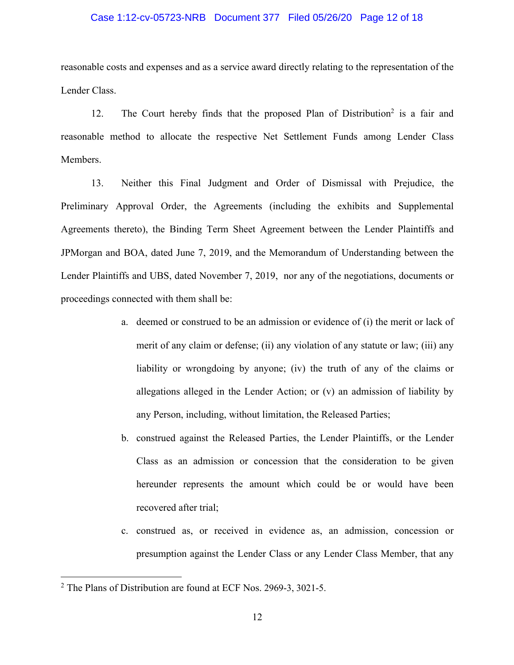### Case 1:12-cv-05723-NRB Document 377 Filed 05/26/20 Page 12 of 18

reasonable costs and expenses and as a service award directly relating to the representation of the Lender Class.

12. The Court hereby finds that the proposed Plan of Distribution<sup>2</sup> is a fair and reasonable method to allocate the respective Net Settlement Funds among Lender Class Members.

13. Neither this Final Judgment and Order of Dismissal with Prejudice, the Preliminary Approval Order, the Agreements (including the exhibits and Supplemental Agreements thereto), the Binding Term Sheet Agreement between the Lender Plaintiffs and JPMorgan and BOA, dated June 7, 2019, and the Memorandum of Understanding between the Lender Plaintiffs and UBS, dated November 7, 2019, nor any of the negotiations, documents or proceedings connected with them shall be:

- a. deemed or construed to be an admission or evidence of (i) the merit or lack of merit of any claim or defense; (ii) any violation of any statute or law; (iii) any liability or wrongdoing by anyone; (iv) the truth of any of the claims or allegations alleged in the Lender Action; or (v) an admission of liability by any Person, including, without limitation, the Released Parties;
- b. construed against the Released Parties, the Lender Plaintiffs, or the Lender Class as an admission or concession that the consideration to be given hereunder represents the amount which could be or would have been recovered after trial;
- c. construed as, or received in evidence as, an admission, concession or presumption against the Lender Class or any Lender Class Member, that any

<sup>2</sup> The Plans of Distribution are found at ECF Nos. 2969-3, 3021-5.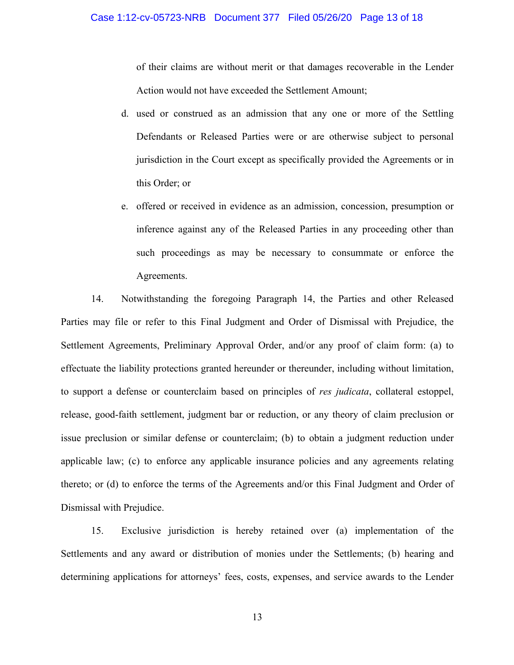of their claims are without merit or that damages recoverable in the Lender Action would not have exceeded the Settlement Amount;

- d. used or construed as an admission that any one or more of the Settling Defendants or Released Parties were or are otherwise subject to personal jurisdiction in the Court except as specifically provided the Agreements or in this Order; or
- e. offered or received in evidence as an admission, concession, presumption or inference against any of the Released Parties in any proceeding other than such proceedings as may be necessary to consummate or enforce the Agreements.

14. Notwithstanding the foregoing Paragraph 14, the Parties and other Released Parties may file or refer to this Final Judgment and Order of Dismissal with Prejudice, the Settlement Agreements, Preliminary Approval Order, and/or any proof of claim form: (a) to effectuate the liability protections granted hereunder or thereunder, including without limitation, to support a defense or counterclaim based on principles of *res judicata*, collateral estoppel, release, good-faith settlement, judgment bar or reduction, or any theory of claim preclusion or issue preclusion or similar defense or counterclaim; (b) to obtain a judgment reduction under applicable law; (c) to enforce any applicable insurance policies and any agreements relating thereto; or (d) to enforce the terms of the Agreements and/or this Final Judgment and Order of Dismissal with Prejudice.

15. Exclusive jurisdiction is hereby retained over (a) implementation of the Settlements and any award or distribution of monies under the Settlements; (b) hearing and determining applications for attorneys' fees, costs, expenses, and service awards to the Lender

13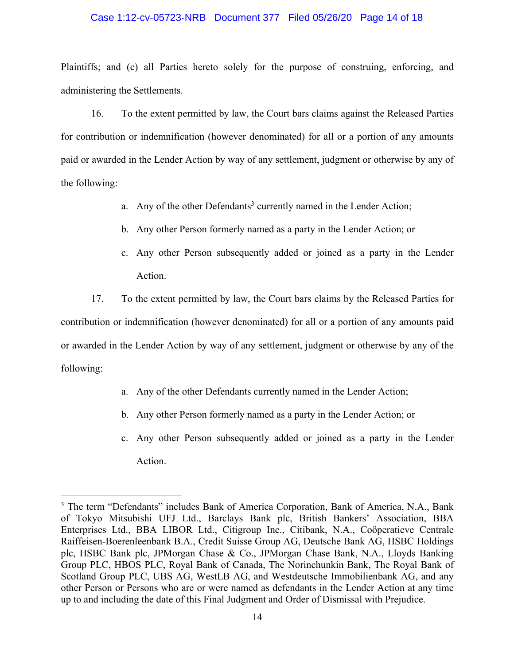### Case 1:12-cv-05723-NRB Document 377 Filed 05/26/20 Page 14 of 18

Plaintiffs; and (c) all Parties hereto solely for the purpose of construing, enforcing, and administering the Settlements.

16. To the extent permitted by law, the Court bars claims against the Released Parties for contribution or indemnification (however denominated) for all or a portion of any amounts paid or awarded in the Lender Action by way of any settlement, judgment or otherwise by any of the following:

- a. Any of the other Defendants<sup>3</sup> currently named in the Lender Action;
- b. Any other Person formerly named as a party in the Lender Action; or
- c. Any other Person subsequently added or joined as a party in the Lender Action.

17. To the extent permitted by law, the Court bars claims by the Released Parties for contribution or indemnification (however denominated) for all or a portion of any amounts paid or awarded in the Lender Action by way of any settlement, judgment or otherwise by any of the following:

- a. Any of the other Defendants currently named in the Lender Action;
- b. Any other Person formerly named as a party in the Lender Action; or
- c. Any other Person subsequently added or joined as a party in the Lender Action.

<sup>&</sup>lt;sup>3</sup> The term "Defendants" includes Bank of America Corporation, Bank of America, N.A., Bank of Tokyo Mitsubishi UFJ Ltd., Barclays Bank plc, British Bankers' Association, BBA Enterprises Ltd., BBA LIBOR Ltd., Citigroup Inc., Citibank, N.A., Coöperatieve Centrale Raiffeisen-Boerenleenbank B.A., Credit Suisse Group AG, Deutsche Bank AG, HSBC Holdings plc, HSBC Bank plc, JPMorgan Chase & Co., JPMorgan Chase Bank, N.A., Lloyds Banking Group PLC, HBOS PLC, Royal Bank of Canada, The Norinchunkin Bank, The Royal Bank of Scotland Group PLC, UBS AG, WestLB AG, and Westdeutsche Immobilienbank AG, and any other Person or Persons who are or were named as defendants in the Lender Action at any time up to and including the date of this Final Judgment and Order of Dismissal with Prejudice.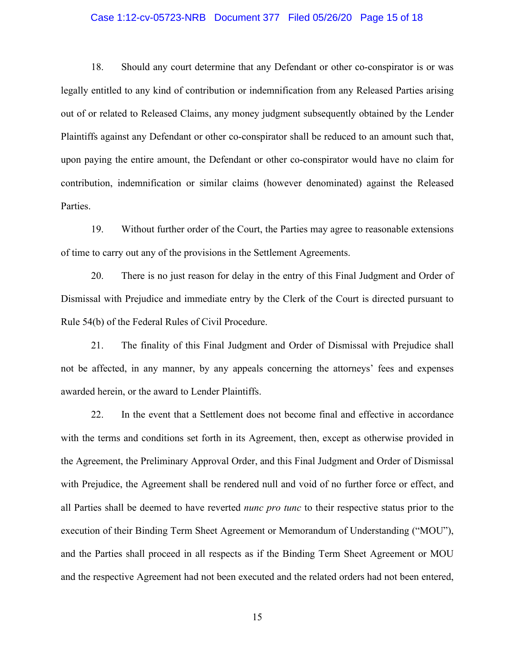#### Case 1:12-cv-05723-NRB Document 377 Filed 05/26/20 Page 15 of 18

18. Should any court determine that any Defendant or other co-conspirator is or was legally entitled to any kind of contribution or indemnification from any Released Parties arising out of or related to Released Claims, any money judgment subsequently obtained by the Lender Plaintiffs against any Defendant or other co-conspirator shall be reduced to an amount such that, upon paying the entire amount, the Defendant or other co-conspirator would have no claim for contribution, indemnification or similar claims (however denominated) against the Released Parties.

19. Without further order of the Court, the Parties may agree to reasonable extensions of time to carry out any of the provisions in the Settlement Agreements.

20. There is no just reason for delay in the entry of this Final Judgment and Order of Dismissal with Prejudice and immediate entry by the Clerk of the Court is directed pursuant to Rule 54(b) of the Federal Rules of Civil Procedure.

21. The finality of this Final Judgment and Order of Dismissal with Prejudice shall not be affected, in any manner, by any appeals concerning the attorneys' fees and expenses awarded herein, or the award to Lender Plaintiffs.

22. In the event that a Settlement does not become final and effective in accordance with the terms and conditions set forth in its Agreement, then, except as otherwise provided in the Agreement, the Preliminary Approval Order, and this Final Judgment and Order of Dismissal with Prejudice, the Agreement shall be rendered null and void of no further force or effect, and all Parties shall be deemed to have reverted *nunc pro tunc* to their respective status prior to the execution of their Binding Term Sheet Agreement or Memorandum of Understanding ("MOU"), and the Parties shall proceed in all respects as if the Binding Term Sheet Agreement or MOU and the respective Agreement had not been executed and the related orders had not been entered,

15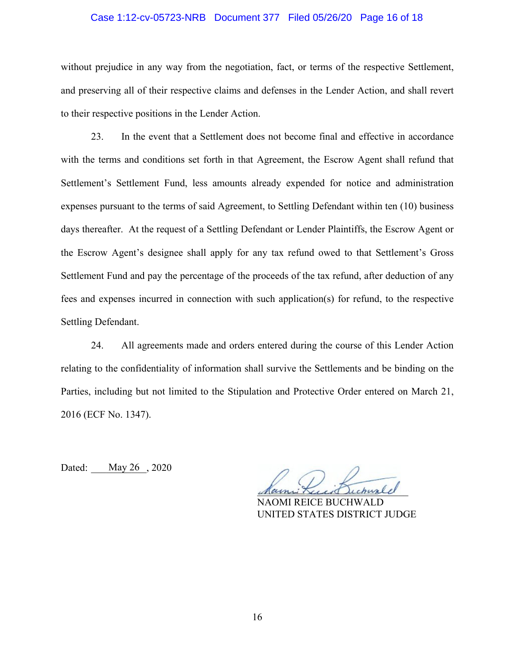### Case 1:12-cv-05723-NRB Document 377 Filed 05/26/20 Page 16 of 18

without prejudice in any way from the negotiation, fact, or terms of the respective Settlement, and preserving all of their respective claims and defenses in the Lender Action, and shall revert to their respective positions in the Lender Action.

23. In the event that a Settlement does not become final and effective in accordance with the terms and conditions set forth in that Agreement, the Escrow Agent shall refund that Settlement's Settlement Fund, less amounts already expended for notice and administration expenses pursuant to the terms of said Agreement, to Settling Defendant within ten (10) business days thereafter. At the request of a Settling Defendant or Lender Plaintiffs, the Escrow Agent or the Escrow Agent's designee shall apply for any tax refund owed to that Settlement's Gross Settlement Fund and pay the percentage of the proceeds of the tax refund, after deduction of any fees and expenses incurred in connection with such application(s) for refund, to the respective Settling Defendant.

24. All agreements made and orders entered during the course of this Lender Action relating to the confidentiality of information shall survive the Settlements and be binding on the Parties, including but not limited to the Stipulation and Protective Order entered on March 21, 2016 (ECF No. 1347).

Dated: May 26, 2020

Marni Kuis Dichurle

NAOMI REICE BUCHWALD UNITED STATES DISTRICT JUDGE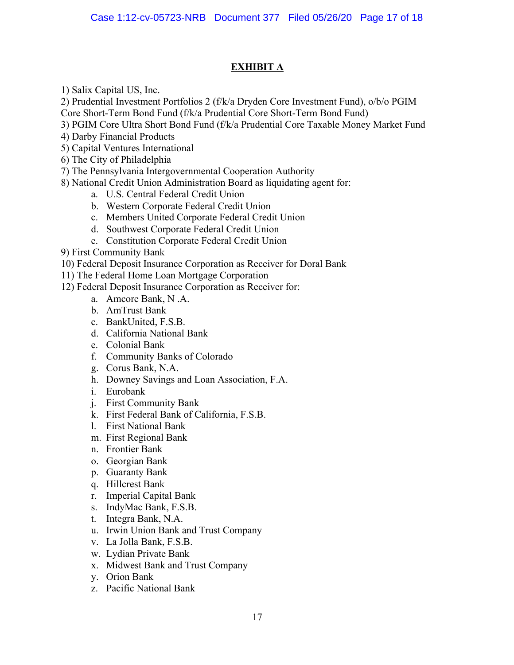# **EXHIBIT A**

1) Salix Capital US, Inc.

2) Prudential Investment Portfolios 2 (f/k/a Dryden Core Investment Fund), o/b/o PGIM Core Short-Term Bond Fund (f/k/a Prudential Core Short-Term Bond Fund)

- 3) PGIM Core Ultra Short Bond Fund (f/k/a Prudential Core Taxable Money Market Fund
- 4) Darby Financial Products
- 5) Capital Ventures International
- 6) The City of Philadelphia
- 7) The Pennsylvania Intergovernmental Cooperation Authority
- 8) National Credit Union Administration Board as liquidating agent for:
	- a. U.S. Central Federal Credit Union
	- b. Western Corporate Federal Credit Union
	- c. Members United Corporate Federal Credit Union
	- d. Southwest Corporate Federal Credit Union
	- e. Constitution Corporate Federal Credit Union
- 9) First Community Bank
- 10) Federal Deposit Insurance Corporation as Receiver for Doral Bank
- 11) The Federal Home Loan Mortgage Corporation
- 12) Federal Deposit Insurance Corporation as Receiver for:
	- a. Amcore Bank, N .A.
	- b. AmTrust Bank
	- c. BankUnited, F.S.B.
	- d. California National Bank
	- e. Colonial Bank
	- f. Community Banks of Colorado
	- g. Corus Bank, N.A.
	- h. Downey Savings and Loan Association, F.A.
	- i. Eurobank
	- j. First Community Bank
	- k. First Federal Bank of California, F.S.B.
	- l. First National Bank
	- m. First Regional Bank
	- n. Frontier Bank
	- o. Georgian Bank
	- p. Guaranty Bank
	- q. Hillcrest Bank
	- r. Imperial Capital Bank
	- s. IndyMac Bank, F.S.B.
	- t. Integra Bank, N.A.
	- u. Irwin Union Bank and Trust Company
	- v. La Jolla Bank, F.S.B.
	- w. Lydian Private Bank
	- x. Midwest Bank and Trust Company
	- y. Orion Bank
	- z. Pacific National Bank